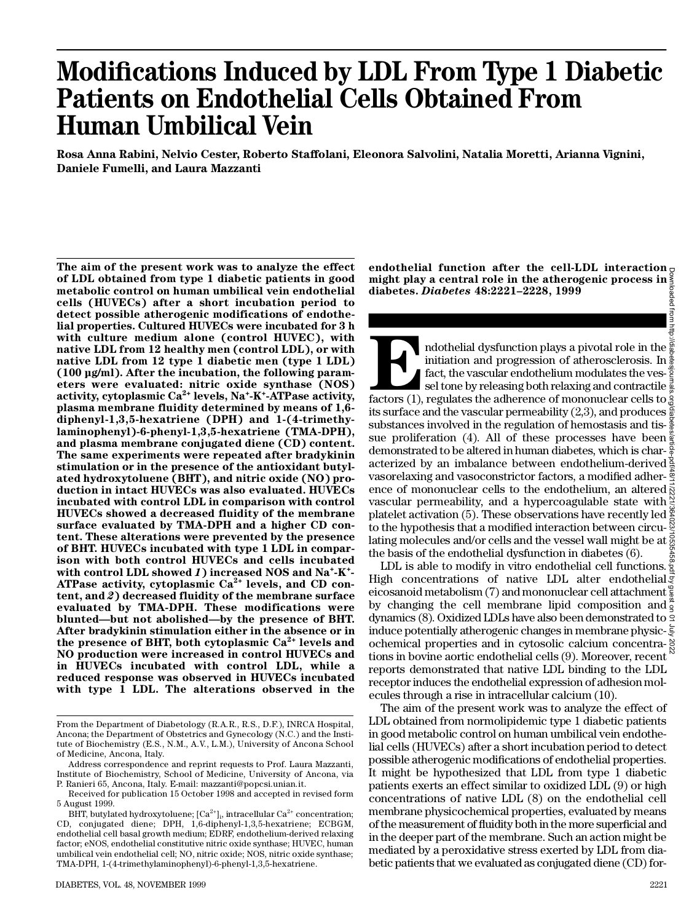# **Modifications Induced by LDL From Type 1 Diabetic Patients on Endothelial Cells Obtained From Human Umbilical Vein**

**Rosa Anna Rabini, Nelvio Cester, Roberto Staffolani, Eleonora Salvolini, Natalia Moretti, Arianna Vignini, Daniele Fumelli, and Laura Mazzanti**

The aim of the present work was to analyze the effect **of LDL obtained from type 1 diabetic patients in good metabolic control on human umbilical vein endothelial cells (HUVECs) after a short incubation period to detect possible atherogenic modifications of endothelial properties. Cultured HUVECs were incubated for 3 h with culture medium alone (control HUVEC), with native LDL from 12 healthy men (control LDL), or with native LDL from 12 type 1 diabetic men (type 1 LDL) (100 µg/ml). After the incubation, the following parameters were evaluated: nitric oxide synthase (NOS) a c t i v i t y, cytoplasmic Ca2 + levels, Na<sup>+</sup> - K<sup>+</sup> - ATPase activity, plasma membrane fluidity determined by means of 1,6 diphenyl-1,3,5-hexatriene (DPH) and 1-(4-trimethylaminophenyl)-6-phenyl-1,3,5-hexatriene (TMA-DPH), and plasma membrane conjugated diene (CD) content. The same experiments were repeated after bradykinin stimulation or in the presence of the antioxidant butylated hydroxytoluene (BHT), and nitric oxide (NO) production in intact HUVECs was also evaluated. HUVECs incubated with control LDL in comparison with control HUVECs showed a decreased fluidity of the membrane surface evaluated by TMA-DPH and a higher CD content. These alterations were prevented by the presence of BHT. HUVECs incubated with type 1 LDL in comparison with both control HUVECs and cells incubated with control LDL showed** *1***) increased NOS and Na<sup>+</sup> - K<sup>+</sup> -** ATPase activity, cytoplasmic Ca<sup>2+</sup> levels, and CD con**tent, and** *2***) decreased fluidity of the membrane surface evaluated by TMA-DPH. These modifications were blunted—but not abolished—by the presence of BHT. After bradykinin stimulation either in the absence or in** the presence of BHT, both cytoplasmic Ca<sup>2+</sup> levels and **NO production were increased in control HUVECs and in HUVECs incubated with control LDL, while a reduced response was observed in HUVECs incubated with type 1 LDL. The alterations observed in the**

**endothelial function after the cell-LDL interaction might play a central role in the atherogenic process in diabetes.** *D i a b e t e s* **4 8 :2 2 2 1–2228, 1999**

Factors (1), ndothelial dysfunction plays a pivotal role in the  $\frac{3}{8}$ initiation and progression of atherosclerosis. In fact, the vascular endothelium modulates the ves- $\frac{3}{2}$ sel tone by releasing both relaxing and contractile  $\frac{3}{2}$ factors (1), regulates the adherence of mononuclear cells to its surface and the vascular permeability (2,3), and produces substances involved in the regulation of hemostasis and tissue proliferation (4). All of these processes have been demonstrated to be altered in human diabetes, which is char- $\frac{5}{6}$ acterized by an imbalance between endothelium-derived vasorelaxing and vasoconstrictor factors, a modified adherence of mononuclear cells to the endothelium, an altered vascular permeability, and a hypercoagulable state with  $\frac{N}{2}$ platelet activation (5). These observations have recently led  $\frac{8}{5}$ to the hypothesis that a modified interaction between circulating molecules and/or cells and the vessel wall might be at  $\frac{8}{2}$ the basis of the endothelial dysfunction in diabetes (6). Downloaded from http://diabetesjournals.org/diabetes/article-pdf/48/11/2221/364023/10535458.pdf by guest on 01 July 2022

LDL is able to modify in vitro endothelial cell functions.  $\frac{3}{2}$ High concentrations of native LDL alter endothelial eicosanoid metabolism (7) and mononuclear cell attachment  $\frac{6}{5}$ by changing the cell membrane lipid composition and  $\frac{1}{3}$ dynamics (8). Oxidized LDLs have also been demonstrated to induce potentially atherogenic changes in membrane physicochemical properties and in cytosolic calcium concentra- $\frac{8}{6}$ tions in bovine aortic endothelial cells (9). Moreover, recent reports demonstrated that native LDL binding to the LDL receptor induces the endothelial expression of adhesion molecules through a rise in intracellular calcium (10).

The aim of the present work was to analyze the effect of LDL obtained from normolipidemic type 1 diabetic patients in good metabolic control on human umbilical vein endothelial cells (HUVECs) after a short incubation period to detect possible atherogenic modifications of endothelial properties. It might be hypothesized that LDL from type 1 diabetic patients exerts an effect similar to oxidized LDL (9) or high concentrations of native LDL (8) on the endothelial cell membrane physicochemical properties, evaluated by means of the measurement of fluidity both in the more superficial and in the deeper part of the membrane. Such an action might be mediated by a peroxidative stress exerted by LDL from diabetic patients that we evaluated as conjugated diene (CD) for-

From the Department of Diabetology (R.A.R., R.S., D.F.), INRCA Hospital, Ancona; the Department of Obstetrics and Gynecology (N.C.) and the Institute of Biochemistry (E.S., N.M., A.V., L.M.), University of Ancona School of Medicine, Ancona, Italy.

Address correspondence and reprint requests to Prof. Laura Mazzanti, Institute of Biochemistry, School of Medicine, University of Ancona, via P. Ranieri 65, Ancona, Italy. E-mail: mazzanti@popcsi.unian.it.

Received for publication 15 October 1998 and accepted in revised form 5 August 1999.

BHT, butylated hydroxytoluene; [Ca $^{2+}$ ]<sub>i</sub>, intracellular Ca $^{2+}$  concentration; CD, conjugated diene; DPH, 1,6-diphenyl-1,3,5-hexatriene; ECBGM, endothelial cell basal growth medium; EDRF, endothelium-derived relaxing factor; eNOS, endothelial constitutive nitric oxide synthase; HUVEC, human umbilical vein endothelial cell; NO, nitric oxide; NOS, nitric oxide synthase; TMA-DPH, 1-(4-trimethylaminophenyl)-6-phenyl-1,3,5-hexatriene.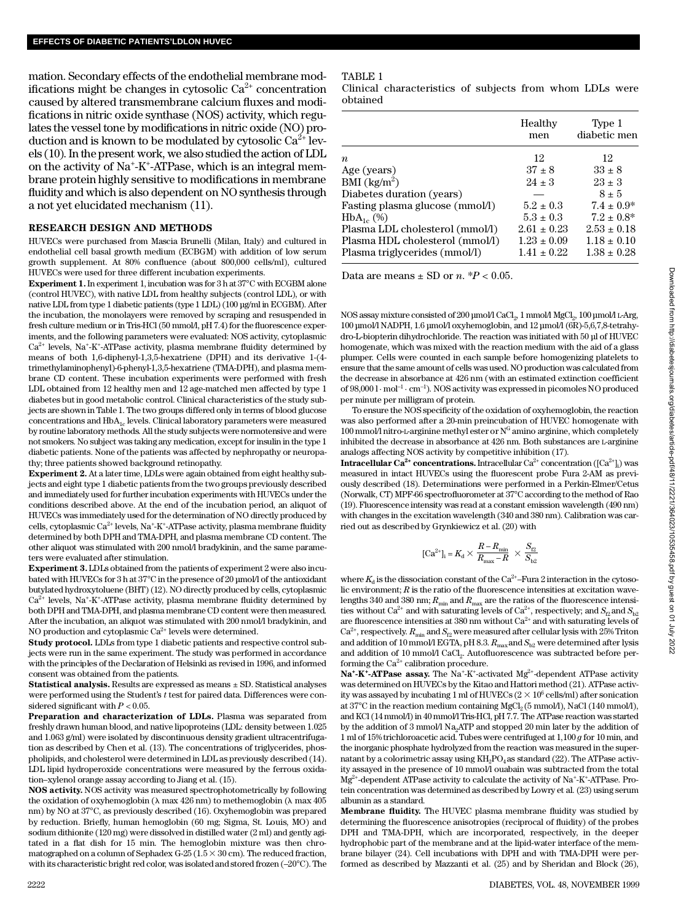mation. Secondary effects of the endothelial membrane modifications might be changes in cytosolic  $Ca^{2+}$  concentration caused by altered transmembrane calcium fluxes and modifications in nitric oxide synthase (NOS) activity, which regulates the vessel tone by modifications in nitric oxide (NO) production and is known to be modulated by cytosolic  $Ca^{2+}$  levels (10). In the present work, we also studied the action of LDL on the activity of Na<sup>+</sup>-K<sup>+</sup>-ATPase, which is an integral membrane protein highly sensitive to modifications in membrane fluidity and which is also dependent on NO synthesis through a not yet elucidated mechanism (11).

## **RESEARCH DESIGN AND METHODS**

HUVECs were purchased from Mascia Brunelli (Milan, Italy) and cultured in endothelial cell basal growth medium (ECBGM) with addition of low serum growth supplement. At 80% confluence (about 800,000 cells/ml), cultured HUVECs were used for three different incubation experiments.

**Experiment 1.**In experiment 1, incubation was for 3 h at 37°C with ECGBM alone (control HUVEC), with native LDL from healthy subjects (control LDL), or with native LDL from type 1 diabetic patients (type 1 LDL) (100 µg/ml in ECGBM). After the incubation, the monolayers were removed by scraping and resuspended in fresh culture medium or in Tris-HCl (50 mmol/l, pH 7.4) for the fluorescence experiments, and the following parameters were evaluated: NOS activity, cytoplasmic  $Ca<sup>2+</sup>$  levels, Na<sup>+</sup>-K<sup>+</sup>-ATPase activity, plasma membrane fluidity determined by means of both 1,6-diphenyl-1,3,5-hexatriene (DPH) and its derivative 1-(4 trimethylaminophenyl)-6-phenyl-1,3,5-hexatriene (TMA-DPH), and plasma membrane CD content. These incubation experiments were performed with fresh LDL obtained from 12 healthy men and 12 age-matched men affected by type 1 diabetes but in good metabolic control. Clinical characteristics of the study subjects are shown in Table 1. The two groups differed only in terms of blood glucose concentrations and  $HbA_{1c}$  levels. Clinical laboratory parameters were measured by routine laboratory methods. All the study subjects were normotensive and were not smokers. No subject was taking any medication, except for insulin in the type 1 diabetic patients. None of the patients was affected by nephropathy or neuropathy; three patients showed background retinopathy.

**Experiment 2.** At a later time, LDLs were again obtained from eight healthy subjects and eight type 1 diabetic patients from the two groups previously described and immediately used for further incubation experiments with HUVECs under the conditions described above. At the end of the incubation period, an aliquot of HUVECs was immediately used for the determination of NO directly produced by cells, cytoplasmic Ca<sup>2+</sup> levels, Na<sup>+</sup>-K<sup>+</sup>-ATPase activity, plasma membrane fluidity determined by both DPH and TMA-DPH, and plasma membrane CD content. The other aliquot was stimulated with 200 nmol/l bradykinin, and the same parameters were evaluated after stimulation.

**Experiment 3.** LDLs obtained from the patients of experiment 2 were also incubated with HUVECs for 3 h at 37°C in the presence of 20 µmol/l of the antioxidant butylated hydroxytoluene (BHT) (12). NO directly produced by cells, cytoplasmic  $Ca<sup>2+</sup>$  levels, Na<sup>+</sup>-K<sup>+</sup>-ATPase activity, plasma membrane fluidity determined by both DPH and TMA-DPH, and plasma membrane CD content were then measured. After the incubation, an aliquot was stimulated with 200 nmol/l bradykinin, and NO production and cytoplasmic  $Ca^{2+}$  levels were determined.

**Study protocol.** LDLs from type 1 diabetic patients and respective control subjects were run in the same experiment. The study was performed in accordance with the principles of the Declaration of Helsinki as revised in 1996, and informed consent was obtained from the patients.

**Statistical analysis.** Results are expressed as means ± SD. Statistical analyses were performed using the Student's *t* test for paired data. Differences were considered significant with  $P < 0.05$ .

**Preparation and characterization of LDLs.** Plasma was separated from freshly drawn human blood, and native lipoproteins (LDL: density between 1.025 and 1.063 g/ml) were isolated by discontinuous density gradient ultracentrifugation as described by Chen et al. (13). The concentrations of triglycerides, phospholipids, and cholesterol were determined in LDL as previously described (14). LDL lipid hydroperoxide concentrations were measured by the ferrous oxidation–xylenol orange assay according to Jiang et al. (15).

**NOS activity.** NOS activity was measured spectrophotometrically by following the oxidation of oxyhemoglobin ( $\lambda$  max 426 nm) to methemoglobin ( $\lambda$  max 405 nm) by NO at 37°C, as previously described (16). Oxyhemoglobin was prepared by reduction. Briefly, human hemoglobin (60 mg; Sigma, St. Louis, MO) and sodium dithionite (120 mg) were dissolved in distilled water (2 ml) and gently agitated in a flat dish for 15 min. The hemoglobin mixture was then chromatographed on a column of Sephadex G-25 (1.5  $\times$  30 cm). The reduced fraction, with its characteristic bright red color, was isolated and stored frozen (–20°C). The

#### TABLE 1

Clinical characteristics of subjects from whom LDLs were obtained

|                                 | Healthy<br>men  | Type 1<br>diabetic men |
|---------------------------------|-----------------|------------------------|
| $\boldsymbol{n}$                | 12              | 12                     |
| Age (years)                     | $37 \pm 8$      | $33 \pm 8$             |
| BMI $(kg/m2)$                   | $24 \pm 3$      | $23 \pm 3$             |
| Diabetes duration (years)       |                 | $8 \pm 5$              |
| Fasting plasma glucose (mmol/l) | $5.2 \pm 0.3$   | $7.4 \pm 0.9*$         |
| $HbA_{1c}$ (%)                  | $5.3 \pm 0.3$   | $7.2 \pm 0.8^*$        |
| Plasma LDL cholesterol (mmol/l) | $2.61 \pm 0.23$ | $2.53 \pm 0.18$        |
| Plasma HDL cholesterol (mmol/l) | $1.23 \pm 0.09$ | $1.18 \pm 0.10$        |
| Plasma triglycerides (mmol/l)   | $1.41 \pm 0.22$ | $1.38 \pm 0.28$        |

Data are means  $\pm$  SD or *n*.  $*P < 0.05$ .

NOS assay mixture consisted of 200 µmol/l CaCl $_{\rm 2}$  1 mmol/l MgCl $_{\rm 2}$ , 100 µmol/l L-Arg, 100 µmol/l NADPH, 1.6 µmol/l oxyhemoglobin, and 12 µmol/l (6R)-5,6,7,8-tetrahydro-L-biopterin dihydrochloride. The reaction was initiated with 50 µl of HUVEC homogenate, which was mixed with the reaction medium with the aid of a glass p lumper. Cells were counted in each sample before homogenizing platelets to ensure that the same amount of cells was used. NO production was calculated from the decrease in absorbance at 426 nm (with an estimated extinction coefficient of  $98,000$  l · mol<sup>-1</sup> · cm<sup>-1</sup>). NOS activity was expressed in picomoles NO produced per minute per milligram of protein.

To ensure the NOS specificity of the oxidation of oxyhemoglobin, the reaction was also performed after a 20-min preincubation of HUVEC homogenate with 100 mmol/l nitro-L-arginine methyl ester or  $N^G$  amino arginine, which completely inhibited the decrease in absorbance at  $426$  nm. Both substances are L-arginine analogs affecting NOS activity by competitive inhibition (17).

 ${\bf Int } {\bf r}$  acellular  ${\bf Ca}^{2+}$   ${\bf concentration}.$  Intracellular  ${\bf Ca}^{2+}$  concentration ([Ca $^{2+}$ ]<sub>i</sub>) was measured in intact HUVECs using the fluorescent probe Fura 2-AM as previously described (18). Determinations were performed in a Perkin-Elmer/Cetus (Norwalk, CT) MPF-66 spectrofluorometer at 37°C according to the method of Rao (19). Fluorescence intensity was read at a constant emission wavelength (490 nm) with changes in the excitation wavelength (340 and 380 nm). Calibration was carried out as described by Grynkiewicz et al. (20) with

$$
[\mathrm{Ca}^{2+}]_{\mathrm{i}}=K_{\mathrm{d}}\times\frac{R-R_{\mathrm{min}}}{R_{\mathrm{max}}-R}\ \times\frac{S_{\mathrm{f2}}}{S_{\mathrm{b2}}}
$$

where  $K_{\rm d}$  is the dissociation constant of the Ca<sup>2+</sup>–Fura 2 interaction in the cytosolic environment; *R* is the ratio of the fluorescence intensities at excitation wavelengths 340 and 380 nm;  $R_{\text{min}}$  and  $R_{\text{max}}$  are the ratios of the fluorescence intensities without Ca<sup>2+</sup> and with saturating levels of Ca<sup>2+</sup>, respectively; and  $S_{p2}$  and  $S_{p2}$ are fluorescence intensities at 380 nm without  $Ca^{2+}$  and with saturating levels of  $Ca^{2+}$ , respectively.  $R_{\text{min}}$  and  $S_{\text{f2}}$  were measured after cellular lysis with 25% Triton and addition of 10 mmol/l EGTA, pH 8.3.  $R_{\text{max}}$  and  $S_{b2}$  were determined after lysis and addition of 10 mmol/l CaCl<sub>2</sub>. Autofluorescence was subtracted before performing the  $Ca^{2+}$  calibration procedure.

Na<sup>+</sup>-K<sup>+</sup>-ATPase assay. The Na<sup>+</sup>-K<sup>+</sup>-activated Mg<sup>2+</sup>-dependent ATPase activity was determined on HUVECs by the Kitao and Hattori method (21). ATPase activity was assayed by incubating 1 ml of HUVECs ( $2\times 10^6\,$  cells/ml) after sonication at  $37^{\circ}$ C in the reaction medium containing MgCl<sub>2</sub> (5 mmol/l), NaCl (140 mmol/l), and KCl (14 mmol/l) in 40 mmol/l Tris-HCl, pH 7.7. The ATPase reaction was started by the addition of 3 mmol/l Na<sub>2</sub>ATP and stopped 20 min later by the addition of 1 ml of 15% trichloroacetic acid. Tubes were centrifuged at 1,100 *g* for 10 min, and the inorganic phosphate hydrolyzed from the reaction was measured in the supernatant by a colorimetric assay using  $KH_{2}PO_{4}$  as standard (22). The ATPase activity assayed in the presence of 10 mmol/l ouabain was subtracted from the total  $Mg^{2+}$ -dependent ATPase activity to calculate the activity of Na<sup>+</sup>-K<sup>+</sup>-ATPase. Protein concentration was determined as described by Lowry et al. (23) using serum albumin as a standard.

**Membrane fluidity.** The HUVEC plasma membrane fluidity was studied by determining the fluorescence anisotropies (reciprocal of fluidity) of the probes DPH and TMA-DPH, which are incorporated, respectively, in the deeper hydrophobic part of the membrane and at the lipid-water interface of the membrane bilayer (24). Cell incubations with DPH and with TMA-DPH were performed as described by Mazzanti et al. (25) and by Sheridan and Block (26),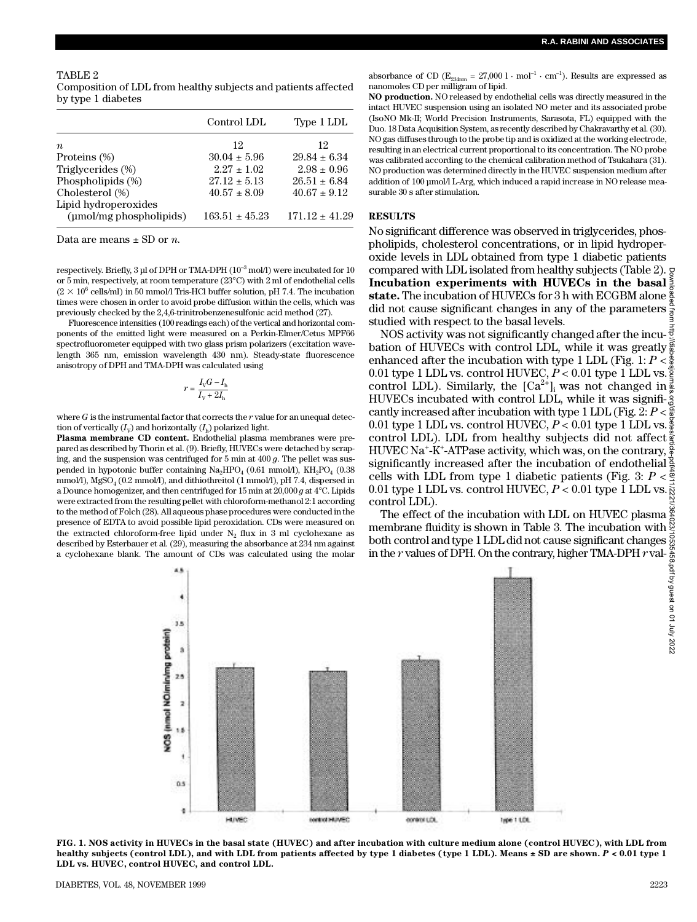## TABLE 2 Composition of LDL from healthy subjects and patients affected by type 1 diabetes

|                                                 | Control LDL        | Type 1 LDL       |
|-------------------------------------------------|--------------------|------------------|
| $\boldsymbol{n}$                                | 12                 | 12               |
| Proteins (%)                                    | $30.04 \pm 5.96$   | $29.84 \pm 6.34$ |
| Triglycerides (%)                               | $2.27 \pm 1.02$    | $2.98 \pm 0.96$  |
| Phospholipids (%)                               | $27.12 \pm 5.13$   | $26.51 \pm 6.84$ |
| Cholesterol (%)                                 | $40.57 \pm 8.09$   | $40.67 \pm 9.12$ |
| Lipid hydroperoxides<br>(umol/mg phospholipids) | $163.51 \pm 45.23$ | $171.12 + 41.29$ |

Data are means  $\pm$  SD or *n*.

respectively. Briefly, 3 µl of DPH or TMA-DPH ( $10^{-3}$  mol/l) were incubated for 10 or 5 min, respectively, at room temperature (23°C) with 2 ml of endothelial cells  $(2 \times 10^6 \text{ cells/ml})$  in 50 mmol/l Tris-HCl buffer solution, pH 7.4. The incubation times were chosen in order to avoid probe diffusion within the cells, which was previously checked by the 2,4,6-trinitrobenzenesulfonic acid method (27).

Fluorescence intensities (100 readings each) of the vertical and horizontal components of the emitted light were measured on a Perkin-Elmer/Cetus MPF66 spectrofluorometer equipped with two glass prism polarizers (excitation wavelength 365 nm, emission wavelength 430 nm). Steady-state fluorescence anisotropy of DPH and TMA-DPH was calculated using

$$
r = \frac{I_{\rm V}G - I_{\rm h}}{I_{\rm V} + 2I_{\rm h}}
$$

where  $G$  is the instrumental factor that corrects the  $r$  value for an unequal detection of vertically  $(I_{\rm V})$  and horizontally  $(I_{\rm h})$  polarized light.

**Plasma membrane CD content.** Endothelial plasma membranes were prepared as described by Thorin et al. (9). Briefly, HUVECs were detached by scraping, and the suspension was centrifuged for 5 min at 400 *g*. The pellet was suspended in hypotonic buffer containing  $\text{Na}_{2}\text{HPO}_{4}$  (0.61 mmol/l),  $\text{KH}_{2}\text{PO}_{4}$  (0.38 mmol/l),  $\mathrm{MgSO}_4$  (0.2 mmol/l), and dithiothreitol (1 mmol/l), pH 7.4, dispersed in a Dounce homogenizer, and then centrifuged for 15 min at 20,000 *g* at 4°C. Lipids were extracted from the resulting pellet with chloroform-methanol 2:1 according to the method of Folch (28). All aqueous phase procedures were conducted in the presence of EDTA to avoid possible lipid peroxidation. CDs were measured on the extracted chloroform-free lipid under  $N_2$  flux in 3 ml cyclohexane as described by Esterbauer et al. (29), measuring the absorbance at 234 nm against a cyclohexane blank. The amount of CDs was calculated using the molar

absorbance of CD ( $E_{234nm} = 27,000$  l · mol<sup>-1</sup> · cm<sup>-1</sup>). Results are expressed as nanomoles CD per milligram of lipid.

**NO production.** NO released by endothelial cells was directly measured in the intact HUVEC suspension using an isolated NO meter and its associated probe (IsoNO Mk-II; World Precision Instruments, Sarasota, FL) equipped with the Duo. 18 Data Acquisition System, as recently described by Chakravarthy et al. (30). NO gas diffuses through to the probe tip and is oxidized at the working electrode, resulting in an electrical current proportional to its concentration. The NO probe was calibrated according to the chemical calibration method of Tsukahara (31). NO production was determined directly in the HUVEC suspension medium after addition of 100 µmol/l L-Arg, which induced a rapid increase in NO release measurable 30 s after stimulation.

#### **RESULTS**

No significant difference was observed in triglycerides, phospholipids, cholesterol concentrations, or in lipid hydroperoxide levels in LDL obtained from type 1 diabetic patients compared with LDL isolated from healthy subjects (Table 2). **Incubation experiments with HUVECs in the basal state.** The incubation of HUVECs for 3 h with ECGBM alone  $\frac{8}{8}$ did not cause significant changes in any of the parameters studied with respect to the basal levels.

NOS activity was not significantly changed after the incubation of HUVECs with control LDL, while it was greatly  $\frac{8}{9}$ enhanced after the incubation with type 1 LDL (Fig. 1:  $P < \frac{8}{9}$ ) 0.01 type 1 LDL vs. control HUVEC,  $P < 0.01$  type 1 LDL vs.  $\frac{3}{2}$ control LDL). Similarly, the  $\left[Ca^{2+}\right]_i$  was not changed in HUVECs incubated with control LDL, while it was significantly increased after incubation with type 1 LDL (Fig. 2: *P* < 0.01 type 1 LDL vs. control HUVEC, *P* < 0.01 type 1 LDL vs. control LDL). LDL from healthy subjects did not affect HUVEC Na<sup>+</sup>-K<sup>+</sup>-ATPase activity, which was, on the contrary, significantly increased after the incubation of endothelial cells with LDL from type 1 diabetic patients (Fig. 3:  $P < \frac{8}{3}$ ) 0.01 type 1 LDL vs. control HUVEC,  $P < 0.01$  type 1 LDL vs. control LDL). Downloaded from http://diabetesjournals.org/diabetes/article-pdf/48/11/2221/364023/10535458.pdf by guest on 01 July 2022

The effect of the incubation with LDL on HUVEC plasma  $\frac{25}{6}$ <br>membrane fluidity is shown in Table 3. The incubation with membrane fluidity is shown in Table 3. The incubation with both control and type 1 LDL did not cause significant changes in the  $r$  values of DPH. On the contrary, higher TMA-DPH  $r$  val-



**FIG. 1. NOS activity in HUVECs in the basal state (HUVEC) and after incubation with culture medium alone (control HUVEC), with LDL from healthy subjects (control LDL), and with LDL from patients affected by type 1 diabetes (type 1 LDL). Means ± SD are shown.** *P* **< 0.01 type 1 LDL vs. HUVEC, control HUVEC, and control LDL.**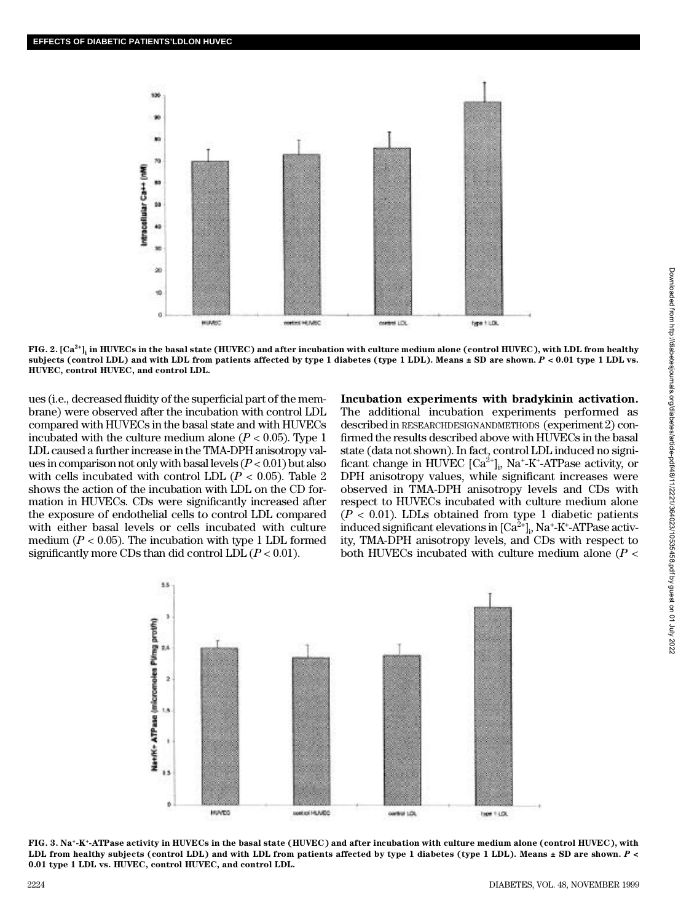

**FIG. 2. [Ca2 +]<sup>i</sup> in HUVECs in the basal state (HUVEC) and after incubation with culture medium alone (control HUVEC), with LDL from healthy subjects (control LDL) and with LDL from patients affected by type 1 diabetes (type 1 LDL). Means ± SD are shown.** *P* **< 0.01 type 1 LDL vs. HUVEC, control HUVEC, and control LDL.**

ues (i.e., decreased fluidity of the superficial part of the membrane) were observed after the incubation with control LDL compared with HUVECs in the basal state and with HUVECs incubated with the culture medium alone  $(P < 0.05)$ . Type 1 LDL caused a further increase in the TMA-DPH anisotropy values in comparison not only with basal levels (*P* < 0.01) but also with cells incubated with control LDL  $(P < 0.05)$ . Table 2 shows the action of the incubation with LDL on the CD formation in HUVECs. CDs were significantly increased after the exposure of endothelial cells to control LDL compared with either basal levels or cells incubated with culture medium  $(P < 0.05)$ . The incubation with type 1 LDL formed significantly more CDs than did control LDL  $(P < 0.01)$ .

**Incubation experiments with bradykinin activation.** The additional incubation experiments performed as described in RESEARCHDESIGNANDMETHODS (experiment 2) confirmed the results described above with HUVECs in the basal state (data not shown). In fact, control LDL induced no significant change in HUVEC  $[Ca^{2+}]_i$ , Na<sup>+</sup>-K<sup>+</sup>-ATPase activity, or DPH anisotropy values, while significant increases were observed in TMA-DPH anisotropy levels and CDs with respect to HUVECs incubated with culture medium alone  $(P < 0.01)$ . LDLs obtained from type 1 diabetic patients induced significant elevations in [Ca $^{2+}]_{\mathfrak{p}}$  Na $^+$ -K $^+$ -ATPase activity, TMA-DPH anisotropy levels, and CDs with respect to both HUVECs incubated with culture medium alone (*P* <



**FIG. 3. Na<sup>+</sup> - K<sup>+</sup> - ATPase activity in HUVECs in the basal state (HUVEC) and after incubation with culture medium alone (control HUVEC), with LDL from healthy subjects (control LDL) and with LDL from patients affected by type 1 diabetes (type 1 LDL). Means ± SD are shown.** *P* **< 0.01 type 1 LDL vs. HUVEC, control HUVEC, and control LDL.**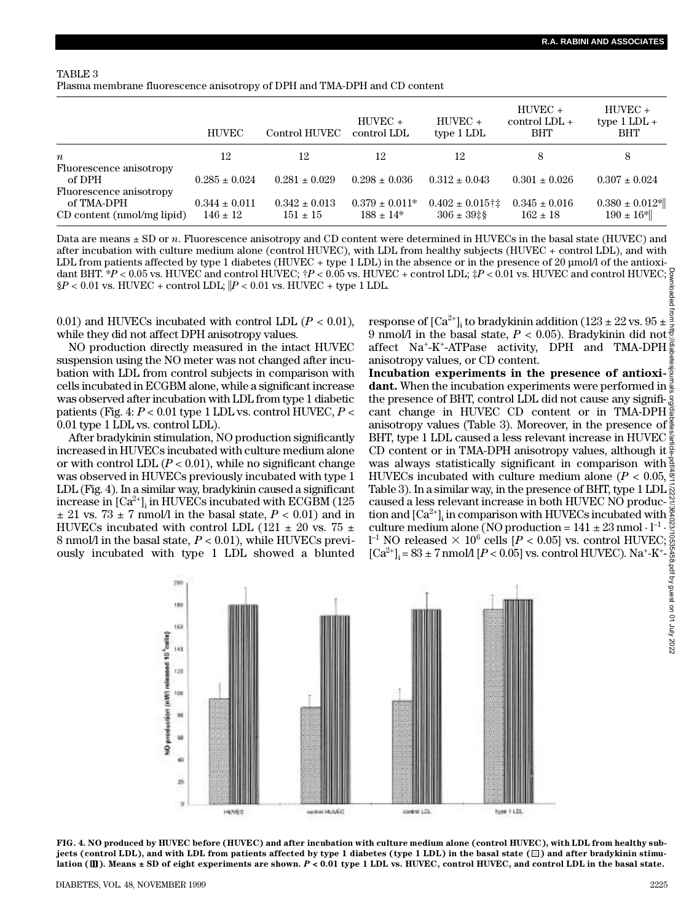#### TABLE 3

Plasma membrane fluorescence anisotropy of DPH and TMA-DPH and CD content

|                                                                     | <b>HUVEC</b>                      | Control HUVEC                     | $HUNEC +$<br>control LDL             | $HUVEC +$<br>type 1 LDL                             | $HUVEC +$<br>control $LDL +$<br>BHT | $HUVEC +$<br>type $1$ LDL $+$<br><b>BHT</b> |
|---------------------------------------------------------------------|-----------------------------------|-----------------------------------|--------------------------------------|-----------------------------------------------------|-------------------------------------|---------------------------------------------|
| $\boldsymbol{n}$                                                    | 12                                | 12                                | 12                                   | 12                                                  |                                     | 8                                           |
| Fluorescence anisotropy<br>of DPH                                   | $0.285 \pm 0.024$                 | $0.281 \pm 0.029$                 | $0.298 \pm 0.036$                    | $0.312 \pm 0.043$                                   | $0.301 \pm 0.026$                   | $0.307 \pm 0.024$                           |
| Fluorescence anisotropy<br>of TMA-DPH<br>CD content (nmol/mg lipid) | $0.344 \pm 0.011$<br>$146 \pm 12$ | $0.342 \pm 0.013$<br>$151 \pm 15$ | $0.379 \pm 0.011*$<br>$188 \pm 14^*$ | $0.402 \pm 0.015$ †‡<br>$306 \pm 39$ $\frac{18}{5}$ | $0.345 \pm 0.016$<br>$162 \pm 18$   | $0.380 \pm 0.012$ *<br>$190 \pm 16$ *       |

Data are means  $\pm$  SD or *n*. Fluorescence anisotropy and CD content were determined in HUVECs in the basal state (HUVEC) and after incubation with culture medium alone (control HUVEC), with LDL from healthy subjects (HUVEC + control LDL), and with LDL from patients affected by type 1 diabetes (HUVEC + type 1 LDL) in the absence or in the presence of 20 µmol/l of the antioxidant BHT. \**P* < 0.05 vs. HUVEC and control HUVEC; †*P* < 0.05 vs. HUVEC + control LDL; ‡*P* < 0.01 vs. HUVEC and control HUVEC;  $\S P < 0.01$  vs. HUVEC + control LDL;  $|P < 0.01$  vs. HUVEC + type 1 LDL.

0.01) and HUVECs incubated with control LDL  $(P < 0.01)$ , while they did not affect DPH anisotropy values.

NO production directly measured in the intact HUVEC suspension using the NO meter was not changed after incubation with LDL from control subjects in comparison with cells incubated in ECGBM alone, while a significant increase was observed after incubation with LDL from type 1 diabetic patients (Fig. 4: *P* < 0.01 type 1 LDL vs. control HUVEC, *P* < 0.01 type 1 LDL vs. control LDL).

After bradykinin stimulation, NO production significantly increased in HUVECs incubated with culture medium alone or with control LDL  $(P < 0.01)$ , while no significant change was observed in HUVECs previously incubated with type 1 LDL (Fig. 4). In a similar way, bradykinin caused a significant increase in  $\left[{\rm Ca}^{2+}\right]_{\rm i}$  in HUVECs incubated with ECGBM (125  $\pm$  21 vs. 73  $\pm$  7 nmol/l in the basal state,  $P < 0.01$ ) and in HUVECs incubated with control LDL (121  $\pm$  20 vs. 75  $\pm$ 8 nmol/l in the basal state, *P* < 0.01), while HUVECs previously incubated with type 1 LDL showed a blunted

response of  $\text{[Ca}^{2+}\text{]}$ ; to bradykinin addition (123 ± 22 vs. 95 ± 9 nmol/l in the basal state, *P* < 0.05). Bradykinin did not affect Na<sup>+</sup> - K<sup>+</sup> - ATPase activity, DPH and TMA-DPH anisotropy values, or CD content.

**Incubation experiments in the presence of antioxidant.** When the incubation experiments were performed in  $\frac{3}{8}$ the presence of BHT, control LDL did not cause any significant change in HUVEC CD content or in TMA-DPH anisotropy values (Table 3). Moreover, in the presence of BHT, type 1 LDL caused a less relevant increase in HUVEC CD content or in TMA-DPH anisotropy values, although it  $\frac{5}{9}$ was always statistically significant in comparison with HUVECs incubated with culture medium alone ( $P < 0.05$ ,  $\frac{5}{3}$ ) Table 3). In a similar way, in the presence of BHT, type 1 LDL  $\bar{\S}$ caused a less relevant increase in both HUVEC NO production and  ${\rm [Ca^{2+}]_i}$  in comparison with HUVECs incubated with culture medium alone (NO production =  $141 \pm 23$  nmol  $\cdot$  l<sup>-1</sup>  $\cdot$  $1^{-1}$  NO released  $\times$  10<sup>6</sup> cells [*P* < 0.05] vs. control HUVEC;  $[Ca^{2+}]_i = 83 \pm 7 \text{ nmol/} [P < 0.05]$  vs. control HUVEC). Na<sup>+</sup>-K<sup>+</sup>-Downloaded from http://diabetesjournals.org/diabetes/article-pdf/48/11/2221/364023/10535458.pdf by guest on 01 July 2022



**FIG. 4. NO produced by HUVEC before (HUVEC) and after incubation with culture medium alone (control HUVEC), with LDL from healthy sub**jects (control LDL), and with LDL from patients affected by type 1 diabetes (type 1 LDL) in the basal state ( $\boxtimes$ ) and after bradykinin stimu**lation ( ). Means ± SD of eight experiments are shown.** *P* **< 0.01 type 1 LDL vs. HUVEC, control HUVEC, and control LDL in the basal state.**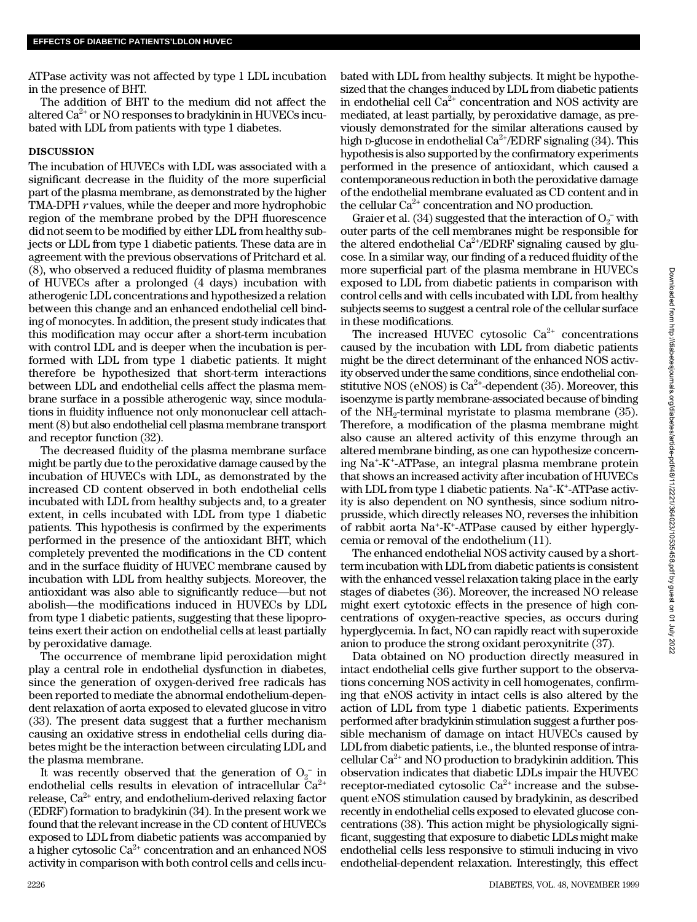ATPase activity was not affected by type 1 LDL incubation in the presence of BHT.

The addition of BHT to the medium did not affect the altered  $Ca^{2+}$  or NO responses to bradykinin in HUVECs incubated with LDL from patients with type 1 diabetes.

# **DISCUSSION**

The incubation of HUVECs with LDL was associated with a significant decrease in the fluidity of the more superficial part of the plasma membrane, as demonstrated by the higher TMA-DPH *r* values, while the deeper and more hydrophobic region of the membrane probed by the DPH fluorescence did not seem to be modified by either LDL from healthy subjects or LDL from type 1 diabetic patients. These data are in agreement with the previous observations of Pritchard et al. (8), who observed a reduced fluidity of plasma membranes of HUVECs after a prolonged (4 days) incubation with atherogenic LDL concentrations and hypothesized a relation between this change and an enhanced endothelial cell binding of monocytes. In addition, the present study indicates that this modification may occur after a short-term incubation with control LDL and is deeper when the incubation is performed with LDL from type 1 diabetic patients. It might therefore be hypothesized that short-term interactions between LDL and endothelial cells affect the plasma membrane surface in a possible atherogenic way, since modulations in fluidity influence not only mononuclear cell attachment (8) but also endothelial cell plasma membrane transport and receptor function (32).

The decreased fluidity of the plasma membrane surface might be partly due to the peroxidative damage caused by the incubation of HUVECs with LDL, as demonstrated by the increased CD content observed in both endothelial cells incubated with LDL from healthy subjects and, to a greater extent, in cells incubated with LDL from type 1 diabetic patients. This hypothesis is confirmed by the experiments performed in the presence of the antioxidant BHT, which completely prevented the modifications in the CD content and in the surface fluidity of HUVEC membrane caused by incubation with LDL from healthy subjects. Moreover, the antioxidant was also able to significantly reduce—but not abolish—the modifications induced in HUVECs by LDL from type 1 diabetic patients, suggesting that these lipoproteins exert their action on endothelial cells at least partially by peroxidative damage.

The occurrence of membrane lipid peroxidation might play a central role in endothelial dysfunction in diabetes, since the generation of oxygen-derived free radicals has been reported to mediate the abnormal endothelium-dependent relaxation of aorta exposed to elevated glucose in vitro (33). The present data suggest that a further mechanism causing an oxidative stress in endothelial cells during diabetes might be the interaction between circulating LDL and the plasma membrane.

It was recently observed that the generation of  $O_2^-$  in endothelial cells results in elevation of intracellular  $Ca^{2+}$ release,  $Ca^{2+}$  entry, and endothelium-derived relaxing factor (EDRF) formation to bradykinin (34). In the present work we found that the relevant increase in the CD content of HUVECs exposed to LDL from diabetic patients was accompanied by a higher cytosolic  $Ca^{2+}$  concentration and an enhanced NOS activity in comparison with both control cells and cells incu-

bated with LDL from healthy subjects. It might be hypothesized that the changes induced by LDL from diabetic patients in endothelial cell  $Ca^{2+}$  concentration and NOS activity are mediated, at least partially, by peroxidative damage, as previously demonstrated for the similar alterations caused by high D-glucose in endothelial  $Ca^{2+}/EDRF$  signaling (34). This hypothesis is also supported by the confirmatory experiments performed in the presence of antioxidant, which caused a contemporaneous reduction in both the peroxidative damage of the endothelial membrane evaluated as CD content and in the cellular  $Ca^{2+}$  concentration and NO production.

Graier et al. (34) suggested that the interaction of  $O_2^-$  with outer parts of the cell membranes might be responsible for the altered endothelial  $Ca^{2+}/EDRF$  signaling caused by glucose. In a similar way, our finding of a reduced fluidity of the more superficial part of the plasma membrane in HUVECs exposed to LDL from diabetic patients in comparison with control cells and with cells incubated with LDL from healthy subjects seems to suggest a central role of the cellular surface in these modifications.

The increased HUVEC cytosolic  $Ca^{2+}$  concentrations caused by the incubation with LDL from diabetic patients might be the direct determinant of the enhanced NOS activity observed under the same conditions, since endothelial constitutive NOS (eNOS) is  $Ca^{2+}$ -dependent (35). Moreover, this isoenzyme is partly membrane-associated because of binding of the  $NH_2$ -terminal myristate to plasma membrane (35). Therefore, a modification of the plasma membrane might also cause an altered activity of this enzyme through an altered membrane binding, as one can hypothesize concerning Na<sup>+</sup> - K<sup>+</sup> - ATPase, an integral plasma membrane protein that shows an increased activity after incubation of HUVECs with LDL from type 1 diabetic patients. Na<sup>+</sup>-K<sup>+</sup>-ATPase activity is also dependent on NO synthesis, since sodium nitroprusside, which directly releases NO, reverses the inhibition of rabbit aorta Na<sup>+</sup>-K<sup>+</sup>-ATPase caused by either hyperglycemia or removal of the endothelium (11).

The enhanced endothelial NOS activity caused by a shortterm incubation with LDL from diabetic patients is consistent with the enhanced vessel relaxation taking place in the early stages of diabetes (36). Moreover, the increased NO release might exert cytotoxic effects in the presence of high concentrations of oxygen-reactive species, as occurs during hyperglycemia. In fact, NO can rapidly react with superoxide anion to produce the strong oxidant peroxynitrite (37).

Data obtained on NO production directly measured in intact endothelial cells give further support to the observations concerning NOS activity in cell homogenates, confirming that eNOS activity in intact cells is also altered by the action of LDL from type 1 diabetic patients. Experiments performed after bradykinin stimulation suggest a further possible mechanism of damage on intact HUVECs caused by LDL from diabetic patients, i.e., the blunted response of intracellular  $Ca^{2+}$  and NO production to bradykinin addition. This observation indicates that diabetic LDLs impair the HUVEC receptor-mediated cytosolic  $Ca^{2+}$  increase and the subsequent eNOS stimulation caused by bradykinin, as described recently in endothelial cells exposed to elevated glucose concentrations (38). This action might be physiologically significant, suggesting that exposure to diabetic LDLs might make endothelial cells less responsive to stimuli inducing in vivo endothelial-dependent relaxation. Interestingly, this effect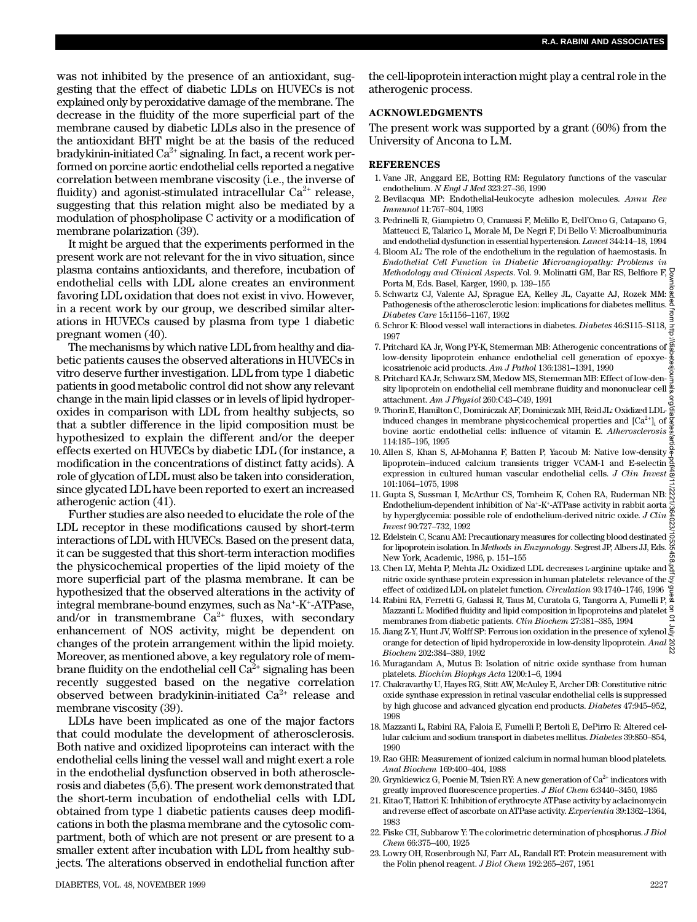was not inhibited by the presence of an antioxidant, suggesting that the effect of diabetic LDLs on HUVECs is not explained only by peroxidative damage of the membrane. The decrease in the fluidity of the more superficial part of the membrane caused by diabetic LDLs also in the presence of the antioxidant BHT might be at the basis of the reduced bradykinin-initiated  $Ca^{2+}$  signaling. In fact, a recent work performed on porcine aortic endothelial cells reported a negative correlation between membrane viscosity (i.e., the inverse of fluidity) and agonist-stimulated intracellular  $Ca^{2+}$  release, suggesting that this relation might also be mediated by a modulation of phospholipase C activity or a modification of membrane polarization (39).

It might be argued that the experiments performed in the present work are not relevant for the in vivo situation, since plasma contains antioxidants, and therefore, incubation of endothelial cells with LDL alone creates an environment favoring LDL oxidation that does not exist in vivo. However, in a recent work by our group, we described similar alterations in HUVECs caused by plasma from type 1 diabetic pregnant women (40).

The mechanisms by which native LDL from healthy and diabetic patients causes the observed alterations in HUVECs in vitro deserve further investigation. LDL from type 1 diabetic patients in good metabolic control did not show any relevant change in the main lipid classes or in levels of lipid hydroperoxides in comparison with LDL from healthy subjects, so that a subtler difference in the lipid composition must be hypothesized to explain the different and/or the deeper effects exerted on HUVECs by diabetic LDL (for instance, a modification in the concentrations of distinct fatty acids). A role of glycation of LDL must also be taken into consideration, since glycated LDL have been reported to exert an increased atherogenic action (41).

Further studies are also needed to elucidate the role of the LDL receptor in these modifications caused by short-term interactions of LDL with HUVECs. Based on the present data, it can be suggested that this short-term interaction modifies the physicochemical properties of the lipid moiety of the more superficial part of the plasma membrane. It can be hypothesized that the observed alterations in the activity of integral membrane-bound enzymes, such as Na<sup>+</sup>-K<sup>+</sup>-ATPase, and/or in transmembrane  $Ca^{2+}$  fluxes, with secondary enhancement of NOS activity, might be dependent on changes of the protein arrangement within the lipid moiety. Moreover, as mentioned above, a key regulatory role of membrane fluidity on the endothelial cell  $Ca^{2+}$  signaling has been recently suggested based on the negative correlation observed between bradykinin-initiated  $Ca^{2+}$  release and membrane viscosity (39).

LDLs have been implicated as one of the major factors that could modulate the development of atherosclerosis. Both native and oxidized lipoproteins can interact with the endothelial cells lining the vessel wall and might exert a role in the endothelial dysfunction observed in both atherosclerosis and diabetes (5,6). The present work demonstrated that the short-term incubation of endothelial cells with LDL obtained from type 1 diabetic patients causes deep modifications in both the plasma membrane and the cytosolic compartment, both of which are not present or are present to a smaller extent after incubation with LDL from healthy subjects. The alterations observed in endothelial function after

the cell-lipoprotein interaction might play a central role in the atherogenic process.

# **ACKNOWLEDGMENTS**

The present work was supported by a grant (60%) from the University of Ancona to L.M.

## **REFERENCES**

- 1 . Vane JR, Anggard EE, Botting RM: Regulatory functions of the vascular endothelium. *N Engl J Med* 323:27–36, 1990
- 2 . Bevilacqua MP: Endothelial-leukocyte adhesion molecules. *Annu Rev Immunol* 11:767–804, 1993
- 3 . Pedrinelli R, Giampietro O, Cramassi F, Melillo E, Dell'Omo G, Catapano G, Matteucci E, Talarico L, Morale M, De Negri F, Di Bello V: Microalbuminuria and endothelial dysfunction in essential hypertension. *Lancet* 344:14-18, 1994
- 4 . Bloom AL: The role of the endothelium in the regulation of haemostasis. In *Endothelial Cell Function in Diabetic Microangiopathy: Problems in Methodology and Clinical Aspects*. Vol. 9. Molinatti GM, Bar RS, Belfiore F, Porta M, Eds. Basel, Karger, 1990, p. 139–155
- 5 . Schwartz CJ, Valente AJ, Sprague EA, Kelley JL, Cayatte AJ, Rozek MM: Pathogenesis of the atherosclerotic lesion: implications for diabetes mellitus. *Diabetes Care* 15:1156–1167, 1992
- 6. Schror K: Blood vessel wall interactions in diabetes. *Diabetes* 46:S115-S118,  $\frac{1}{2}$ 1997
- 7. Pritchard KA Jr, Wong PY-K, Stemerman MB: Atherogenic concentrations of  $\frac{\alpha}{\omega}$ low-density lipoprotein enhance endothelial cell generation of epoxyeicosatrienoic acid products. *Am J Pathol* 136:1381–1391, 1990
- 8 . Pritchard KA Jr, Schwarz SM, Medow MS, Stemerman MB: Effect of low-density lipoprotein on endothelial cell membrane fluidity and mononuclear cell  $\frac{\overline{w}}{\overline{w}}$ attachment. *Am J Physiol* 260:C43–C49, 1991
- 9. Thorin E, Hamilton C, Dominiczak AF, Dominiczak MH, Reid JL: Oxidized LDL- $\frac{5}{60}$ induced changes in membrane physicochemical properties and  ${\rm [Ca^{2+}]_{i}}$  of bovine aortic endothelial cells: influence of vitamin E. *Atherosclerosis*  $\frac{6}{6}$ 114:185–195, 1995
- 10. Allen S, Khan S, Al-Mohanna F, Batten P, Yacoub M: Native low-density lipoprotein–induced calcium transients trigger VCAM-1 and E-selectin expression in cultured human vascular endothelial cells. *J Clin Invest* 101:1064–1075, 1998
- 11. Gupta S, Sussman I, McArthur CS, Tornheim K, Cohen RA, Ruderman NB:  $\frac{55}{60}$ Endothelium-dependent inhibition of Na<sup>+</sup>-K<sup>+</sup>-ATPase activity in rabbit aorta by hyperglycemia: possible role of endothelium-derived nitric oxide. *J Clin I n v e s t* 90:727–732, 1992 Downloaded from http://diabetesjournals.org/diabetes/article-pdf/48/11/2221/364023/10535458.pdf by guest on 01 July 2022
- 12. Edelstein C, Scanu AM: Precautionary measures for collecting blood destinated for lipoprotein isolation. In *Methods in Enzymology*. Segrest JP, Albers JJ, Eds. New York, Academic, 1986, p. 151–155
- 13. Chen LY, Mehta P, Mehta JL: Oxidized LDL decreases L-arginine uptake and  $\frac{1}{2}$ nitric oxide synthase protein expression in human platelets: relevance of the effect of oxidized LDL on platelet function. *Circulation* 93:1740–1746, 1996
- 1 4 . Rabini RA, Ferretti G, Galassi R, Taus M, Curatola G, Tangorra A, Fumelli P, Mazzanti L: Modified fluidity and lipid composition in lipoproteins and platelet membranes from diabetic patients. *Clin Biochem* 27:381–385, 1994
- 15. Jiang Z-Y, Hunt JV, Wolff SP: Ferrous ion oxidation in the presence of xylenol  $\bar{\Xi}$ orange for detection of lipid hydroperoxide in low-density lipoprotein. *Anal*  $\frac{18}{6}$ *B i o c h e m* 202:384–389, 1992
- 16. Muragandam A, Mutus B: Isolation of nitric oxide synthase from human platelets. *Biochim Biophys Acta* 1200:1–6, 1994
- 1 7 . Chakravarthy U, Hayes RG, Stitt AW, McAuley E, Archer DB: Constitutive nitric oxide synthase expression in retinal vascular endothelial cells is suppressed by high glucose and advanced glycation end products. *Diabetes* 47:945-952, 1998
- 1 8 . Mazzanti L, Rabini RA, Faloia E, Fumelli P, Bertoli E, DePirro R: Altered cellular calcium and sodium transport in diabetes mellitus. *Diabetes* 39:850-854, 1990
- 1 9 . Rao GHR: Measurement of ionized calcium in normal human blood platelets. *Anal Biochem* 169:400–404, 1988
- 20. Grynkiewicz G, Poenie M, Tsien RY: A new generation of  $Ca^{2+}$  indicators with greatly improved fluorescence properties. *J Biol Chem* 6:3440–3450, 1985
- 2 1 . Kitao T, Hattori K: Inhibition of erythrocyte ATPase activity by aclacinomycin and reverse effect of ascorbate on ATPase activity. *Experientia* 39:1362-1364, 1983
- 2 2 . Fiske CH, Subbarow Y: The colorimetric determination of phosphorus. *J Biol Chem* 66:375–400, 1925
- 23. Lowry OH, Rosenbrough NJ, Farr AL, Randall RT: Protein measurement with the Folin phenol reagent. *J Biol Chem* 192:265–267, 1951